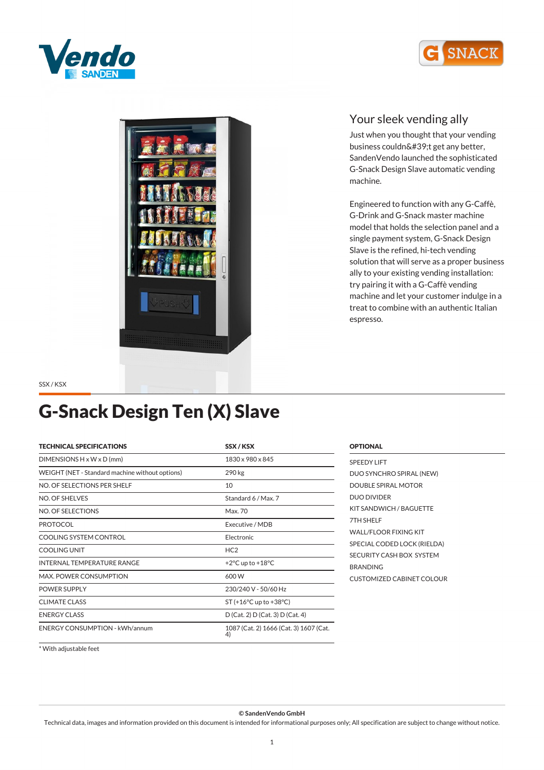





### *Your sleek vending ally*

*Just when you thought that your vending* business couldn't get any better, *SandenVendo launched the sophisticated G-Snack Design Slave automatic vending machine.*

*Engineered to function with any G-Caffè, G-Drink and G-Snack master machine model that holds the selection panel and a single payment system, G-Snack Design Slave is the refined, hi-tech vending solution that will serve as a proper business ally to your existing vending installation: try pairing it with a G-Caffè vending machine and let your customer indulge in a treat to combine with an authentic Italian espresso.*

*SSX / KSX*

# *G-Snack Design Ten (X) Slave*

| <b>TECHNICAL SPECIFICATIONS</b>                 | SSX/KSX                                      |
|-------------------------------------------------|----------------------------------------------|
| $DIMENTSIONS H \times W \times D$ (mm)          | 1830 x 980 x 845                             |
| WEIGHT (NET - Standard machine without options) | 290 kg                                       |
| NO. OF SELECTIONS PER SHELF                     | 10                                           |
| NO. OF SHELVES                                  | Standard 6 / Max. 7                          |
| NO. OF SELECTIONS                               | Max. 70                                      |
| <b>PROTOCOL</b>                                 | Executive / MDB                              |
| COOLING SYSTEM CONTROL                          | Electronic                                   |
| COOLING UNIT                                    | HC <sub>2</sub>                              |
| <b>INTERNAL TEMPERATURE RANGE</b>               | +2 $\degree$ C up to +18 $\degree$ C         |
| MAX, POWER CONSUMPTION                          | 600 W                                        |
| <b>POWER SUPPLY</b>                             | 230/240 V - 50/60 Hz                         |
| <b>CLIMATE CLASS</b>                            | $ST (+16°C$ up to $+38°C$ )                  |
| <b>ENERGY CLASS</b>                             | D (Cat. 2) D (Cat. 3) D (Cat. 4)             |
| <b>ENERGY CONSUMPTION - kWh/annum</b>           | 1087 (Cat. 2) 1666 (Cat. 3) 1607 (Cat.<br>4) |

| <b>SPEEDY LIFT</b>           |
|------------------------------|
| DUO SYNCHRO SPIRAL (NEW)     |
| DOUBLE SPIRAL MOTOR          |
| <b>DUO DIVIDER</b>           |
| KIT SANDWICH / BAGUETTE      |
| 7TH SHFI F                   |
| <b>WALL/FLOOR FIXING KIT</b> |
| SPECIAL CODED LOCK (RIELDA)  |
| SECURITY CASH BOX SYSTEM     |
| <b>BRANDING</b>              |
| CUSTOMIZED CARINET COLOUR    |
|                              |

*OPTIONAL*

*\* With adjustable feet*

*© SandenVendo GmbH*

*Technical data, images and information provided on this document is intended for informational purposes only; All specification are subject to change without notice.*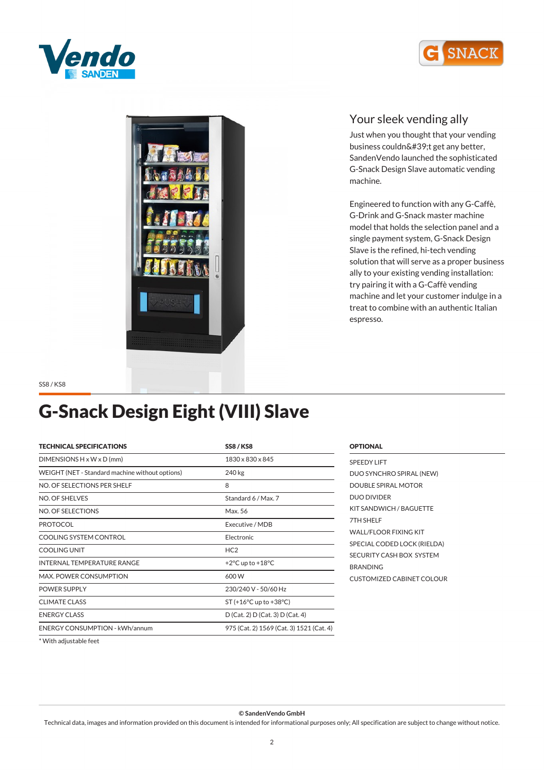





### *Your sleek vending ally*

*Just when you thought that your vending* business couldn't get any better, *SandenVendo launched the sophisticated G-Snack Design Slave automatic vending machine.*

*Engineered to function with any G-Caffè, G-Drink and G-Snack master machine model that holds the selection panel and a single payment system, G-Snack Design Slave is the refined, hi-tech vending solution that will serve as a proper business ally to your existing vending installation: try pairing it with a G-Caffè vending machine and let your customer indulge in a treat to combine with an authentic Italian espresso.*

*SS8 / KS8*

# *G-Snack Design Eight (VIII) Slave*

| <b>TECHNICAL SPECIFICATIONS</b>                 | <b>SS8/KS8</b>                           |
|-------------------------------------------------|------------------------------------------|
| DIMENSIONS $H \times W \times D$ (mm)           | 1830 x 830 x 845                         |
| WEIGHT (NET - Standard machine without options) | 240 kg                                   |
| NO. OF SELECTIONS PER SHELF                     | 8                                        |
| NO. OF SHELVES                                  | Standard 6 / Max. 7                      |
| NO. OF SELECTIONS                               | Max. 56                                  |
| <b>PROTOCOL</b>                                 | Executive / MDB                          |
| COOLING SYSTEM CONTROL                          | Electronic                               |
| <b>COOLING UNIT</b>                             | HC <sub>2</sub>                          |
| <b>INTERNAL TEMPERATURE RANGE</b>               | +2 $\degree$ C up to +18 $\degree$ C     |
| <b>MAX. POWER CONSUMPTION</b>                   | 600W                                     |
| <b>POWER SUPPLY</b>                             | 230/240 V - 50/60 Hz                     |
| <b>CLIMATE CLASS</b>                            | $ST$ (+16 $°C$ up to +38 $°C$ )          |
| <b>ENERGY CLASS</b>                             | D (Cat. 2) D (Cat. 3) D (Cat. 4)         |
| <b>ENERGY CONSUMPTION - kWh/annum</b>           | 975 (Cat. 2) 1569 (Cat. 3) 1521 (Cat. 4) |
|                                                 |                                          |

| <b>OPTIONAL</b>                  |  |
|----------------------------------|--|
| <b>SPEEDY LIFT</b>               |  |
| DUO SYNCHRO SPIRAL (NEW)         |  |
| DOUBLE SPIRAL MOTOR              |  |
| DUO DIVIDER                      |  |
| KIT SANDWICH / BAGUETTE          |  |
| 7TH SHELF                        |  |
| WALL/FLOOR FIXING KIT            |  |
| SPECIAL CODED LOCK (RIELDA)      |  |
| SECURITY CASH BOX SYSTEM         |  |
| <b>BRANDING</b>                  |  |
| <b>CUSTOMIZED CABINET COLOUR</b> |  |
|                                  |  |

*\* With adjustable feet*

*© SandenVendo GmbH*

*Technical data, images and information provided on this document is intended for informational purposes only; All specification are subject to change without notice.*